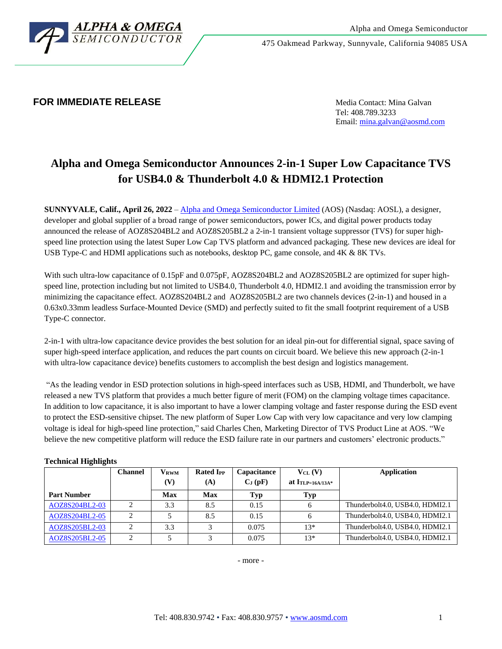

475 Oakmead Parkway, Sunnyvale, California 94085 USA

## **FOR IMMEDIATE RELEASE Media Contact: Mina Galvan**

Tel: 408.789.3233 Email[: mina.galvan@aosmd.com](mailto:mina.galvan@aosmd.com)

# **Alpha and Omega Semiconductor Announces 2-in-1 Super Low Capacitance TVS for USB4.0 & Thunderbolt 4.0 & HDMI2.1 Protection**

**SUNNYVALE, Calif., April 26, 2022** – Alpha and [Omega Semiconductor Limited](http://www.aosmd.com/) (AOS) (Nasdaq: AOSL), a designer, developer and global supplier of a broad range of power semiconductors, power ICs, and digital power products today announced the release of AOZ8S204BL2 and AOZ8S205BL2 a 2-in-1 transient voltage suppressor (TVS) for super highspeed line protection using the latest Super Low Cap TVS platform and advanced packaging. These new devices are ideal for USB Type-C and HDMI applications such as notebooks, desktop PC, game console, and 4K & 8K TVs.

With such ultra-low capacitance of 0.15pF and 0.075pF, AOZ8S204BL2 and AOZ8S205BL2 are optimized for super highspeed line, protection including but not limited to USB4.0, Thunderbolt 4.0, HDMI2.1 and avoiding the transmission error by minimizing the capacitance effect. AOZ8S204BL2 and AOZ8S205BL2 are two channels devices (2-in-1) and housed in a 0.63x0.33mm leadless Surface-Mounted Device (SMD) and perfectly suited to fit the small footprint requirement of a USB Type-C connector.

2-in-1 with ultra-low capacitance device provides the best solution for an ideal pin-out for differential signal, space saving of super high-speed interface application, and reduces the part counts on circuit board. We believe this new approach (2-in-1 with ultra-low capacitance device) benefits customers to accomplish the best design and logistics management.

"As the leading vendor in ESD protection solutions in high-speed interfaces such as USB, HDMI, and Thunderbolt, we have released a new TVS platform that provides a much better figure of merit (FOM) on the clamping voltage times capacitance. In addition to low capacitance, it is also important to have a lower clamping voltage and faster response during the ESD event to protect the ESD-sensitive chipset. The new platform of Super Low Cap with very low capacitance and very low clamping voltage is ideal for high-speed line protection," said Charles Chen, Marketing Director of TVS Product Line at AOS. "We believe the new competitive platform will reduce the ESD failure rate in our partners and customers' electronic products."

### **Technical Highlights**

|                    | <b>Channel</b> | $\mathbf{V}_{\mathbf{RWM}}$ | <b>Rated I<sub>PP</sub></b> | Capacitance | $V_{CL} (V)$       | Application                     |
|--------------------|----------------|-----------------------------|-----------------------------|-------------|--------------------|---------------------------------|
|                    |                | (V)                         | (A)                         | $C_J(pF)$   | at $ITLP=16A/13A*$ |                                 |
| <b>Part Number</b> |                | Max                         | <b>Max</b>                  | Typ         | Typ                |                                 |
| AOZ8S204BL2-03     | ◠              | 3.3                         | 8.5                         | 0.15        |                    | Thunderbolt4.0, USB4.0, HDMI2.1 |
| AOZ8S204BL2-05     |                |                             | 8.5                         | 0.15        |                    | Thunderbolt4.0, USB4.0, HDMI2.1 |
| AOZ8S205BL2-03     |                | 3.3                         |                             | 0.075       | $13*$              | Thunderbolt4.0, USB4.0, HDMI2.1 |
| AOZ8S205BL2-05     | $\gamma$       |                             |                             | 0.075       | $13*$              | Thunderbolt4.0, USB4.0, HDMI2.1 |

- more -